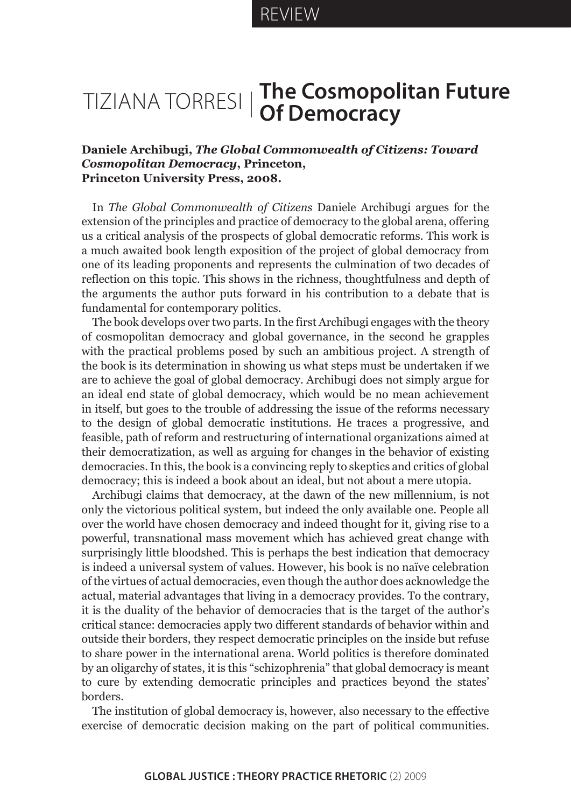## Tiziana Torresi **The Cosmopolitan Future Of Democracy**

## **Daniele Archibugi,** *The Global Commonwealth of Citizens: Toward Cosmopolitan Democracy***, Princeton, Princeton University Press, 2008.**

In *The Global Commonwealth of Citizens* Daniele Archibugi argues for the extension of the principles and practice of democracy to the global arena, offering us a critical analysis of the prospects of global democratic reforms. This work is a much awaited book length exposition of the project of global democracy from one of its leading proponents and represents the culmination of two decades of reflection on this topic. This shows in the richness, thoughtfulness and depth of the arguments the author puts forward in his contribution to a debate that is fundamental for contemporary politics.

The book develops over two parts. In the first Archibugi engages with the theory of cosmopolitan democracy and global governance, in the second he grapples with the practical problems posed by such an ambitious project. A strength of the book is its determination in showing us what steps must be undertaken if we are to achieve the goal of global democracy. Archibugi does not simply argue for an ideal end state of global democracy, which would be no mean achievement in itself, but goes to the trouble of addressing the issue of the reforms necessary to the design of global democratic institutions. He traces a progressive, and feasible, path of reform and restructuring of international organizations aimed at their democratization, as well as arguing for changes in the behavior of existing democracies. In this, the book is a convincing reply to skeptics and critics of global democracy; this is indeed a book about an ideal, but not about a mere utopia.

Archibugi claims that democracy, at the dawn of the new millennium, is not only the victorious political system, but indeed the only available one. People all over the world have chosen democracy and indeed thought for it, giving rise to a powerful, transnational mass movement which has achieved great change with surprisingly little bloodshed. This is perhaps the best indication that democracy is indeed a universal system of values. However, his book is no naïve celebration of the virtues of actual democracies, even though the author does acknowledge the actual, material advantages that living in a democracy provides. To the contrary, it is the duality of the behavior of democracies that is the target of the author's critical stance: democracies apply two different standards of behavior within and outside their borders, they respect democratic principles on the inside but refuse to share power in the international arena. World politics is therefore dominated by an oligarchy of states, it is this "schizophrenia" that global democracy is meant to cure by extending democratic principles and practices beyond the states' borders.

The institution of global democracy is, however, also necessary to the effective exercise of democratic decision making on the part of political communities.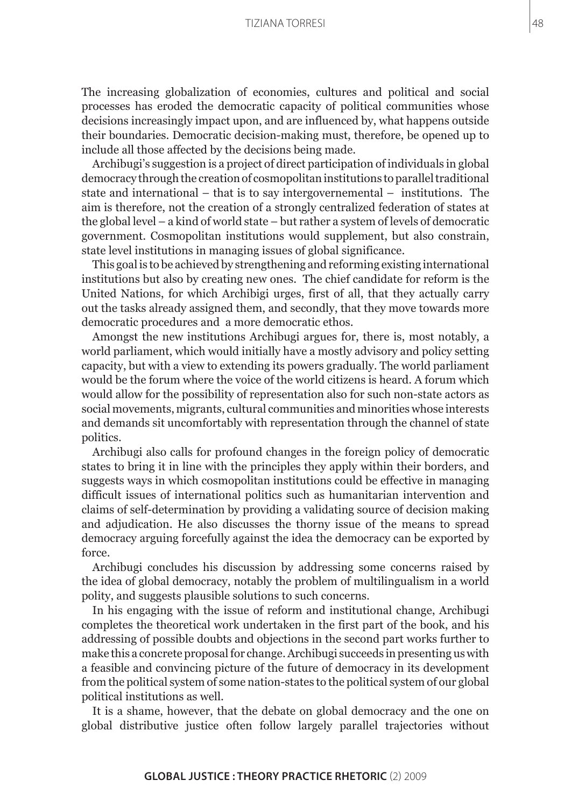## Tiziana Torresi

The increasing globalization of economies, cultures and political and social processes has eroded the democratic capacity of political communities whose decisions increasingly impact upon, and are influenced by, what happens outside their boundaries. Democratic decision-making must, therefore, be opened up to include all those affected by the decisions being made.

Archibugi's suggestion is a project of direct participation of individuals in global democracy through the creation of cosmopolitan institutions to parallel traditional state and international – that is to say intergovernemental – institutions. The aim is therefore, not the creation of a strongly centralized federation of states at the global level – a kind of world state – but rather a system of levels of democratic government. Cosmopolitan institutions would supplement, but also constrain, state level institutions in managing issues of global significance.

This goal is to be achieved by strengthening and reforming existing international institutions but also by creating new ones. The chief candidate for reform is the United Nations, for which Archibigi urges, first of all, that they actually carry out the tasks already assigned them, and secondly, that they move towards more democratic procedures and a more democratic ethos.

Amongst the new institutions Archibugi argues for, there is, most notably, a world parliament, which would initially have a mostly advisory and policy setting capacity, but with a view to extending its powers gradually. The world parliament would be the forum where the voice of the world citizens is heard. A forum which would allow for the possibility of representation also for such non-state actors as social movements, migrants, cultural communities and minorities whose interests and demands sit uncomfortably with representation through the channel of state politics.

Archibugi also calls for profound changes in the foreign policy of democratic states to bring it in line with the principles they apply within their borders, and suggests ways in which cosmopolitan institutions could be effective in managing difficult issues of international politics such as humanitarian intervention and claims of self-determination by providing a validating source of decision making and adjudication. He also discusses the thorny issue of the means to spread democracy arguing forcefully against the idea the democracy can be exported by force.

Archibugi concludes his discussion by addressing some concerns raised by the idea of global democracy, notably the problem of multilingualism in a world polity, and suggests plausible solutions to such concerns.

In his engaging with the issue of reform and institutional change, Archibugi completes the theoretical work undertaken in the first part of the book, and his addressing of possible doubts and objections in the second part works further to make this a concrete proposal for change. Archibugi succeeds in presenting us with a feasible and convincing picture of the future of democracy in its development from the political system of some nation-states to the political system of our global political institutions as well.

It is a shame, however, that the debate on global democracy and the one on global distributive justice often follow largely parallel trajectories without